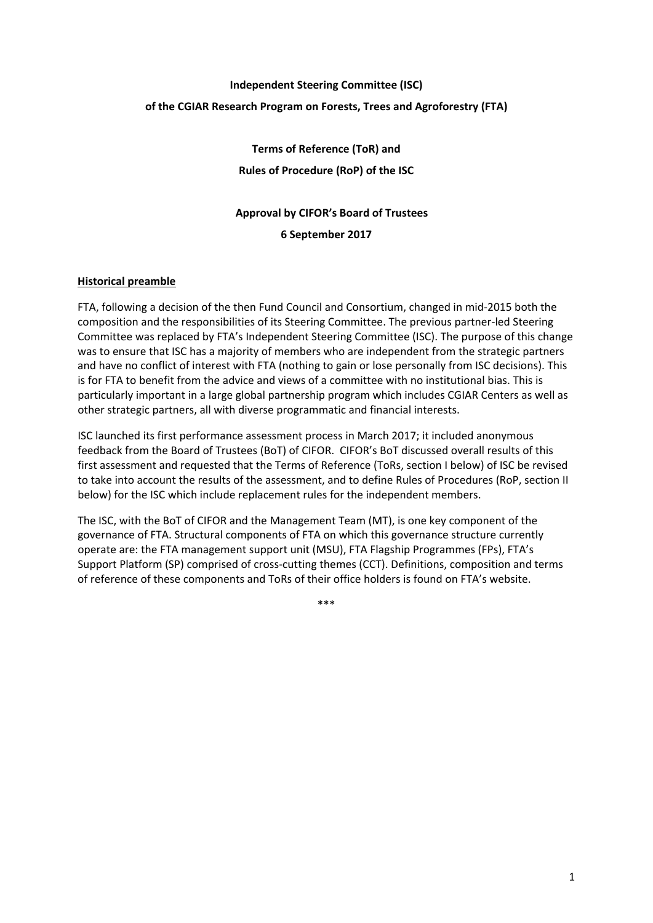# **Independent Steering Committee (ISC) of the CGIAR Research Program on Forests, Trees and Agroforestry (FTA)**

**Terms of Reference (ToR) and Rules of Procedure (RoP) of the ISC**

# **Approval by CIFOR's Board of Trustees 6 September 2017**

## **Historical preamble**

FTA, following a decision of the then Fund Council and Consortium, changed in mid-2015 both the composition and the responsibilities of its Steering Committee. The previous partner-led Steering Committee was replaced by FTA's Independent Steering Committee (ISC). The purpose of this change was to ensure that ISC has a majority of members who are independent from the strategic partners and have no conflict of interest with FTA (nothing to gain or lose personally from ISC decisions). This is for FTA to benefit from the advice and views of a committee with no institutional bias. This is particularly important in a large global partnership program which includes CGIAR Centers as well as other strategic partners, all with diverse programmatic and financial interests.

ISC launched its first performance assessment process in March 2017; it included anonymous feedback from the Board of Trustees (BoT) of CIFOR. CIFOR's BoT discussed overall results of this first assessment and requested that the Terms of Reference (ToRs, section I below) of ISC be revised to take into account the results of the assessment, and to define Rules of Procedures (RoP, section II below) for the ISC which include replacement rules for the independent members.

The ISC, with the BoT of CIFOR and the Management Team (MT), is one key component of the governance of FTA. Structural components of FTA on which this governance structure currently operate are: the FTA management support unit (MSU), FTA Flagship Programmes (FPs), FTA's Support Platform (SP) comprised of cross-cutting themes (CCT). Definitions, composition and terms of reference of these components and ToRs of their office holders is found on FTA's website.

\*\*\*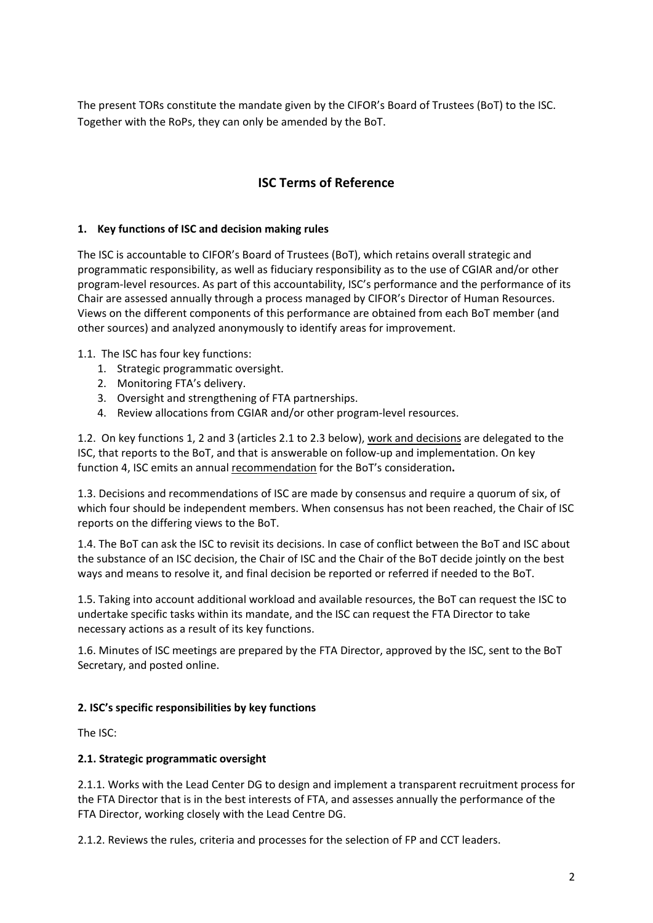The present TORs constitute the mandate given by the CIFOR's Board of Trustees (BoT) to the ISC. Together with the RoPs, they can only be amended by the BoT.

# **ISC Terms of Reference**

## **1. Key functions of ISC and decision making rules**

The ISC is accountable to CIFOR's Board of Trustees (BoT), which retains overall strategic and programmatic responsibility, as well as fiduciary responsibility as to the use of CGIAR and/or other program-level resources. As part of this accountability, ISC's performance and the performance of its Chair are assessed annually through a process managed by CIFOR's Director of Human Resources. Views on the different components of this performance are obtained from each BoT member (and other sources) and analyzed anonymously to identify areas for improvement.

#### 1.1. The ISC has four key functions:

- 1. Strategic programmatic oversight.
- 2. Monitoring FTA's delivery.
- 3. Oversight and strengthening of FTA partnerships.
- 4. Review allocations from CGIAR and/or other program-level resources.

1.2. On key functions 1, 2 and 3 (articles 2.1 to 2.3 below), work and decisions are delegated to the ISC, that reports to the BoT, and that is answerable on follow-up and implementation. On key function 4, ISC emits an annual recommendation for the BoT's consideration**.** 

1.3. Decisions and recommendations of ISC are made by consensus and require a quorum of six, of which four should be independent members. When consensus has not been reached, the Chair of ISC reports on the differing views to the BoT.

1.4. The BoT can ask the ISC to revisit its decisions. In case of conflict between the BoT and ISC about the substance of an ISC decision, the Chair of ISC and the Chair of the BoT decide jointly on the best ways and means to resolve it, and final decision be reported or referred if needed to the BoT.

1.5. Taking into account additional workload and available resources, the BoT can request the ISC to undertake specific tasks within its mandate, and the ISC can request the FTA Director to take necessary actions as a result of its key functions.

1.6. Minutes of ISC meetings are prepared by the FTA Director, approved by the ISC, sent to the BoT Secretary, and posted online.

## **2. ISC's specific responsibilities by key functions**

The ISC:

## **2.1. Strategic programmatic oversight**

2.1.1. Works with the Lead Center DG to design and implement a transparent recruitment process for the FTA Director that is in the best interests of FTA, and assesses annually the performance of the FTA Director, working closely with the Lead Centre DG.

2.1.2. Reviews the rules, criteria and processes for the selection of FP and CCT leaders.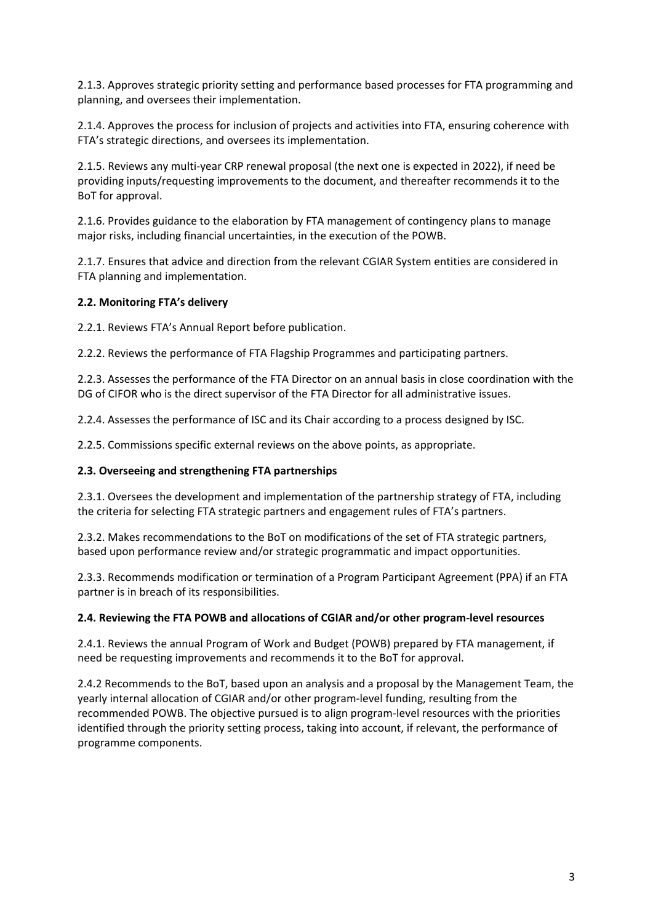2.1.3. Approves strategic priority setting and performance based processes for FTA programming and planning, and oversees their implementation.

2.1.4. Approves the process for inclusion of projects and activities into FTA, ensuring coherence with FTA's strategic directions, and oversees its implementation.

2.1.5. Reviews any multi-year CRP renewal proposal (the next one is expected in 2022), if need be providing inputs/requesting improvements to the document, and thereafter recommends it to the BoT for approval.

2.1.6. Provides guidance to the elaboration by FTA management of contingency plans to manage major risks, including financial uncertainties, in the execution of the POWB.

2.1.7. Ensures that advice and direction from the relevant CGIAR System entities are considered in FTA planning and implementation.

#### **2.2. Monitoring FTA's delivery**

2.2.1. Reviews FTA's Annual Report before publication.

2.2.2. Reviews the performance of FTA Flagship Programmes and participating partners.

2.2.3. Assesses the performance of the FTA Director on an annual basis in close coordination with the DG of CIFOR who is the direct supervisor of the FTA Director for all administrative issues.

2.2.4. Assesses the performance of ISC and its Chair according to a process designed by ISC.

2.2.5. Commissions specific external reviews on the above points, as appropriate.

#### **2.3. Overseeing and strengthening FTA partnerships**

2.3.1. Oversees the development and implementation of the partnership strategy of FTA, including the criteria for selecting FTA strategic partners and engagement rules of FTA's partners.

2.3.2. Makes recommendations to the BoT on modifications of the set of FTA strategic partners, based upon performance review and/or strategic programmatic and impact opportunities.

2.3.3. Recommends modification or termination of a Program Participant Agreement (PPA) if an FTA partner is in breach of its responsibilities.

#### **2.4. Reviewing the FTA POWB and allocations of CGIAR and/or other program-level resources**

2.4.1. Reviews the annual Program of Work and Budget (POWB) prepared by FTA management, if need be requesting improvements and recommends it to the BoT for approval.

2.4.2 Recommends to the BoT, based upon an analysis and a proposal by the Management Team, the yearly internal allocation of CGIAR and/or other program-level funding, resulting from the recommended POWB. The objective pursued is to align program-level resources with the priorities identified through the priority setting process, taking into account, if relevant, the performance of programme components.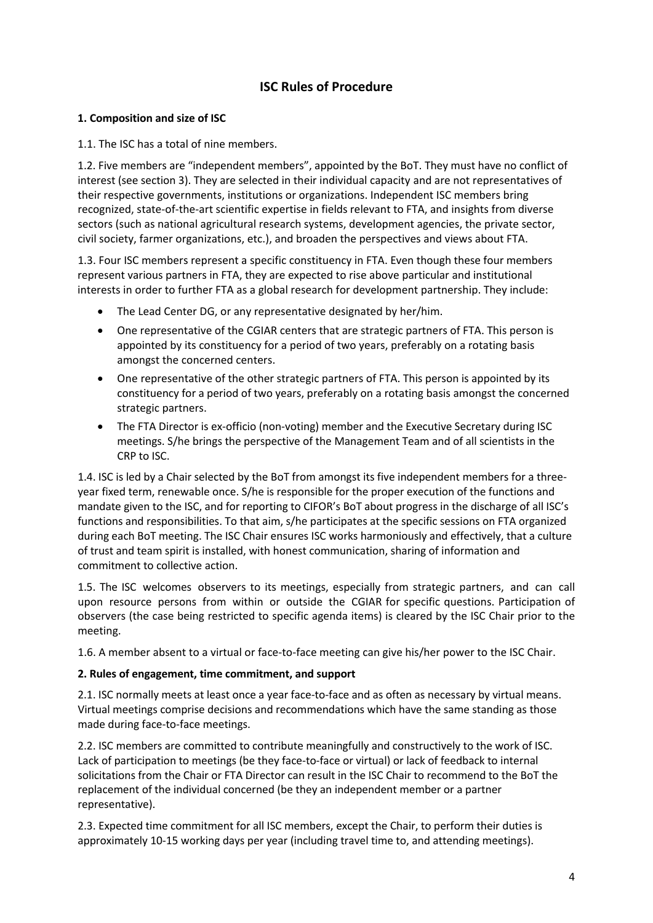# **ISC Rules of Procedure**

# **1. Composition and size of ISC**

1.1. The ISC has a total of nine members.

1.2. Five members are "independent members", appointed by the BoT. They must have no conflict of interest (see section 3). They are selected in their individual capacity and are not representatives of their respective governments, institutions or organizations. Independent ISC members bring recognized, state-of-the-art scientific expertise in fields relevant to FTA, and insights from diverse sectors (such as national agricultural research systems, development agencies, the private sector, civil society, farmer organizations, etc.), and broaden the perspectives and views about FTA.

1.3. Four ISC members represent a specific constituency in FTA. Even though these four members represent various partners in FTA, they are expected to rise above particular and institutional interests in order to further FTA as a global research for development partnership. They include:

- The Lead Center DG, or any representative designated by her/him.
- One representative of the CGIAR centers that are strategic partners of FTA. This person is appointed by its constituency for a period of two years, preferably on a rotating basis amongst the concerned centers.
- One representative of the other strategic partners of FTA. This person is appointed by its constituency for a period of two years, preferably on a rotating basis amongst the concerned strategic partners.
- The FTA Director is ex-officio (non-voting) member and the Executive Secretary during ISC meetings. S/he brings the perspective of the Management Team and of all scientists in the CRP to ISC.

1.4. ISC is led by a Chair selected by the BoT from amongst its five independent members for a threeyear fixed term, renewable once. S/he is responsible for the proper execution of the functions and mandate given to the ISC, and for reporting to CIFOR's BoT about progress in the discharge of all ISC's functions and responsibilities. To that aim, s/he participates at the specific sessions on FTA organized during each BoT meeting. The ISC Chair ensures ISC works harmoniously and effectively, that a culture of trust and team spirit is installed, with honest communication, sharing of information and commitment to collective action.

1.5. The ISC welcomes observers to its meetings, especially from strategic partners, and can call upon resource persons from within or outside the CGIAR for specific questions. Participation of observers (the case being restricted to specific agenda items) is cleared by the ISC Chair prior to the meeting.

1.6. A member absent to a virtual or face-to-face meeting can give his/her power to the ISC Chair.

# **2. Rules of engagement, time commitment, and support**

2.1. ISC normally meets at least once a year face-to-face and as often as necessary by virtual means. Virtual meetings comprise decisions and recommendations which have the same standing as those made during face-to-face meetings.

2.2. ISC members are committed to contribute meaningfully and constructively to the work of ISC. Lack of participation to meetings (be they face-to-face or virtual) or lack of feedback to internal solicitations from the Chair or FTA Director can result in the ISC Chair to recommend to the BoT the replacement of the individual concerned (be they an independent member or a partner representative).

2.3. Expected time commitment for all ISC members, except the Chair, to perform their duties is approximately 10-15 working days per year (including travel time to, and attending meetings).